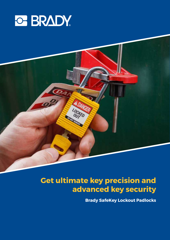



## **Get ultimate key precision and advanced key security**

**Brady SafeKey Lockout Padlocks**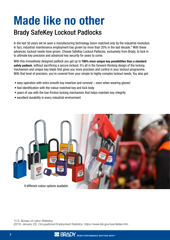# Made like no other

### Brady SafeKey Lockout Padlocks

In the last 50 years we've seen a manufacturing technology boom matched only by the industrial revolution. In fact, industrial maintenance employment has grown by more than 20% in the last decade.\* With these advances, lockout needs have grown. Choose SafeKey Lockout Padlocks, exclusively from Brady, to lock in to ultimate key precision and advanced key security for years to come.

With this innovatively designed padlock you get up to 700% more unique key possibilities than a standard safety padlock, without sacrificing a secure lockout. It's all in the forward-thinking design of the locking mechanism and unique key blade that gives you more precision and control in your lockout programme. With that level of precision, you're covered from your simple to highly complex lockout needs. You also get:

- easy operation with extra smooth key insertion and removal even when wearing gloves!
- fast identification with the colour-matched key and lock body
- years of use with the low-friction locking mechanism that helps maintain key integrity
- excellent durability in every industrial environment



*\*U.S. Bureau of Labor Statistics. (2019, January 22). Occupational Employment Statistics. https://www.bls.gov/oes/tables.htm*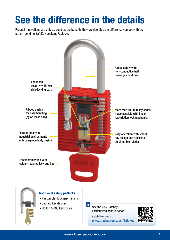# See the difference in the details

Product innovations are only as good as the benefits they provide. See the difference you get with the patent-pending SafeKey Lockout Padlocks:

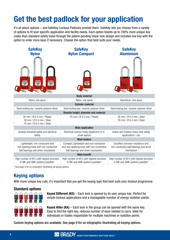# Get the best padlock for your application

It's all about options – and SafeKey Lockout Padlocks provide them. SafeKey lets you choose from a variety of options to fit your specific application and facility needs. Each option boasts up to 700% more unique key codes than standard safety locks through the patent-pending linear lock design and includes one key with the option to order more keys if necessary. Choose the option that best suits your needs.

| <b>SafeKey</b><br><b>Nylon</b>                                                                                 | <b>SafeKey</b><br><b>Nylon Compact</b>                                                                                     | <b>SafeKey</b><br><b>Aluminium</b>                                                         |  |  |  |  |  |  |
|----------------------------------------------------------------------------------------------------------------|----------------------------------------------------------------------------------------------------------------------------|--------------------------------------------------------------------------------------------|--|--|--|--|--|--|
|                                                                                                                |                                                                                                                            |                                                                                            |  |  |  |  |  |  |
| <b>Body material</b>                                                                                           |                                                                                                                            |                                                                                            |  |  |  |  |  |  |
| Nylon, one piece                                                                                               | Nylon, one piece                                                                                                           | Aluminium, one piece                                                                       |  |  |  |  |  |  |
|                                                                                                                | <b>Cylinder material</b>                                                                                                   |                                                                                            |  |  |  |  |  |  |
| Steel locking bar; ceramic polymer driver                                                                      | Steel locking bar; ceramic polymer driver                                                                                  | Steel locking bar; ceramic polymer driver                                                  |  |  |  |  |  |  |
|                                                                                                                | Shackle height, diameter and material                                                                                      |                                                                                            |  |  |  |  |  |  |
| 38 mm / Ø 6.4 mm / Plastic<br>38 mm / Ø 6.4 mm / Steel<br>76 mm / Ø 6.4 mm / Steel                             | 25 mm / Ø 4.3 mm / Plastic                                                                                                 | 38 mm / Ø 6.4 mm / Steel<br>76 mm / Ø 6.4 mm / Steel                                       |  |  |  |  |  |  |
|                                                                                                                | <b>Main application</b>                                                                                                    |                                                                                            |  |  |  |  |  |  |
| General industrial safety and electrical<br>safety                                                             | Electrical Lockout ready equipment or in<br>small spaces                                                                   | Indoor and Outdoor heavy duty safety<br>applications / use                                 |  |  |  |  |  |  |
| <b>Main feature</b>                                                                                            |                                                                                                                            |                                                                                            |  |  |  |  |  |  |
| Lightweight, non-conductive and<br>non-sparking body with non-conductive<br>ball bearings and driver mechanism | Compact, lightweight and non-conductive<br>and non-sparking body with non-conductive<br>ball bearings and driver mechanism | Excellent corrosion resistance and<br>non-conductive ball bearings and driver<br>mechanism |  |  |  |  |  |  |
|                                                                                                                | <b>Main benefit</b>                                                                                                        |                                                                                            |  |  |  |  |  |  |
| High number of KD's with highest precision<br>in MK and GMK systems possible*                                  | High number of KD's with highest precision<br>in MK and GMK systems possible*                                              | High number of KD's with highest precision<br>in MK and GMK systems possible*              |  |  |  |  |  |  |

\*See page 9 for an infographic illustrating all keying options.

### Keying options

With more unique key cuts, it's important that you get the keying type that best suits your lockout programme.

#### Standard options



Keyed Different (KD) – Each lock is opened by its own unique key. Perfect for simple lockout applications and a manageable number of energy isolation points.

**Keyed Alike (KA)** – Each lock in the group can be opened with the same key. Easy to find the right key, reduces number of keys needed to carry. Ideal for individuals or trades responsible for multiple machines or isolation points.

Custom keying options are available. See page 9 for an infographic illustrating all keying options.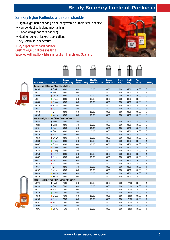#### SafeKey Nylon Padlocks with steel shackle

- Lightweight non-sparking nylon body with a durable steel shackle
- Non-conductive locking mechanism
- Ribbed design for safe handling
- Ideal for general lockout applications
- Key-retaining lock feature

1 key supplied for each padlock.

Custom keying options available.

Supplied with padlock labels in English, French and Spanish.



 $\frac{1}{\Box}$ 

 $\mathbb{P}$ 

 $\Box$ 

 $\bigoplus$ 



| <b>Order Reference</b>                        | <b>Colour</b>    | <b>Shackle</b><br>Height (mm) | <b>Shackle</b><br>Diameter (mm) | <b>Shackle</b><br>Clearance (mm) | <b>Shackle</b><br>Width (mm) | <b>Depth</b><br>(mm) | <b>Height</b><br>(mm) | <b>Width</b><br>(mm) | <b>Quantity</b> |
|-----------------------------------------------|------------------|-------------------------------|---------------------------------|----------------------------------|------------------------------|----------------------|-----------------------|----------------------|-----------------|
| Shackle Height 38 mm / KA - Keyed Alike       |                  |                               |                                 |                                  |                              |                      |                       |                      |                 |
| 150294                                        | <b>Black</b>     | 38.00                         | 6.40                            | 20.00                            | 33.00                        | 19.00                | 84.00                 | 38.00                | 3               |
| 150317                                        | $\bullet$ Blue   | 38.00                         | 6.40                            | 20.00                            | 33.00                        | 19.00                | 84.00                 | 38.00                | 3               |
| 150228                                        | ● Brown          | 38.00                         | 6.40                            | 20.00                            | 33.00                        | 19.00                | 84.00                 | 38.00                | 3               |
| 150341                                        | <b>Green</b>     | 38.00                         | 6.40                            | 20.00                            | 33.00                        | 19.00                | 84.00                 | 38.00                | 3               |
| 150364                                        | <b>Orange</b>    | 38.00                         | 6.40                            | 20.00                            | 33.00                        | 19.00                | 84.00                 | 38.00                | 3               |
| 150229                                        | • Purple         | 38.00                         | 6.40                            | 20.00                            | 33.00                        | 19.00                | 84.00                 | 38.00                | 3               |
| 150271                                        | $\bullet$ Red    | 38.00                         | 6.40                            | 20.00                            | 33.00                        | 19.00                | 84.00                 | 38.00                | 3               |
| 150340                                        | $\circ$ White    | 38.00                         | 6.40                            | 20.00                            | 33.00                        | 19.00                | 84.00                 | 38.00                | 3               |
| 150246                                        | • Yellow         | 38.00                         | 6.40                            | 20.00                            | 33.00                        | 19.00                | 84.00                 | 38.00                | 3               |
| Shackle Height 38 mm / KD - Keyed Differently |                  |                               |                                 |                                  |                              |                      |                       |                      |                 |
| 150234                                        | <b>Black</b>     | 38.00                         | 6.40                            | 20.00                            | 33.00                        | 19.00                | 84.00                 | 38.00                | $\mathbf{1}$    |
| 150224                                        | <b>Black</b>     | 38.00                         | 6.40                            | 20.00                            | 33.00                        | 19.00                | 84.00                 | 38.00                | 6               |
| 150251                                        | $\bullet$ Blue   | 38.00                         | 6.40                            | 20.00                            | 33.00                        | 19.00                | 84.00                 | 38.00                | $\mathbf{1}$    |
| 150316                                        | $\bullet$ Blue   | 38.00                         | 6.40                            | 20.00                            | 33.00                        | 19.00                | 84.00                 | 38.00                | 6               |
| 150275                                        | <b>Brown</b>     | 38.00                         | 6.40                            | 20.00                            | 33.00                        | 19.00                | 84.00                 | 38.00                | $\mathbf{1}$    |
| 150269                                        | ● Brown          | 38.00                         | 6.40                            | 20.00                            | 33.00                        | 19.00                | 84.00                 | 38.00                | 6               |
| 150368                                        | ● Green          | 38.00                         | 6.40                            | 20.00                            | 33.00                        | 19.00                | 84.00                 | 38.00                | $\mathbf{1}$    |
| 150337                                        | Green            | 38.00                         | 6.40                            | 20.00                            | 33.00                        | 19.00                | 84.00                 | 38.00                | 6               |
| 150320                                        | <b>O</b> Orange  | 38.00                         | 6.40                            | 20.00                            | 33.00                        | 19.00                | 84.00                 | 38.00                | $\mathbf{1}$    |
| 150336                                        | Orange           | 38.00                         | 6.40                            | 20.00                            | 33.00                        | 19.00                | 84.00                 | 38.00                | 6               |
| 150250                                        | • Purple         | 38.00                         | 6.40                            | 20.00                            | 33.00                        | 19.00                | 84.00                 | 38.00                | $\mathbf{1}$    |
| 150362                                        | • Purple         | 38.00                         | 6.40                            | 20.00                            | 33.00                        | 19.00                | 84.00                 | 38.00                | 6               |
| 150321                                        | $\bullet$ Red    | 38.00                         | 6.40                            | 20.00                            | 33.00                        | 19.00                | 84.00                 | 38.00                | $\mathbf{1}$    |
| 150270                                        | $\bullet$ Red    | 38.00                         | 6.40                            | 20.00                            | 33.00                        | 19.00                | 84.00                 | 38.00                | 6               |
| 150367                                        | $\bigcirc$ White | 38.00                         | 6.40                            | 20.00                            | 33.00                        | 19.00                | 84.00                 | 38.00                | $\mathbf{1}$    |
| 150292                                        | $\circ$ White    | 38.00                         | 6.40                            | 20.00                            | 33.00                        | 19.00                | 84.00                 | 38.00                | 6               |
| 150343                                        | • Yellow         | 38.00                         | 6.40                            | 20.00                            | 33.00                        | 19.00                | 84.00                 | 38.00                | $\mathbf{1}$    |
| 150225                                        | • Yellow         | 38.00                         | 6.40                            | 20.00                            | 33.00                        | 19.00                | 84.00                 | 38.00                | 6               |
| Shackle Height 76 mm / KD - Keyed Differently |                  |                               |                                 |                                  |                              |                      |                       |                      |                 |
| 150274                                        | <b>Black</b>     | 76.00                         | 6.40                            | 20.00                            | 33.00                        | 19.00                | 122.00                | 38.00                | $\mathbf{1}$    |
| 150249                                        | $\bullet$ Blue   | 76.00                         | 6.40                            | 20.00                            | 33.00                        | 19.00                | 122.00                | 38.00                | $\mathbf{1}$    |
| 150247                                        | <b>Brown</b>     | 76.00                         | 6.40                            | 20.00                            | 33.00                        | 19.00                | 122.00                | 38.00                | $\mathbf{1}$    |
| 150319                                        | <b>Green</b>     | 76.00                         | 6.40                            | 20.00                            | 33.00                        | 19.00                | 122.00                | 38.00                | $\mathbf{1}$    |
| 150248                                        | Orange           | 76.00                         | 6.40                            | 20.00                            | 33.00                        | 19.00                | 122.00                | 38.00                | $\mathbf{1}$    |
| 150233                                        | • Purple         | 76.00                         | 6.40                            | 20.00                            | 33.00                        | 19.00                | 122.00                | 38.00                | $\mathbf{1}$    |
| 150357                                        | $\bullet$ Red    | 76.00                         | 6.40                            | 20.00                            | 33.00                        | 19.00                | 122.00                | 38.00                | $\mathbf{1}$    |
| 150295                                        | $\bigcirc$ White | 76.00                         | 6.40                            | 20.00                            | 33.00                        | 19.00                | 122.00                | 38.00                | $\mathbf{1}$    |
| 150296                                        | • Yellow         | 76.00                         | 6.40                            | 20.00                            | 33.00                        | 19.00                | 122.00                | 38.00                | $\mathbf{1}$    |
|                                               |                  |                               |                                 |                                  |                              |                      |                       |                      |                 |

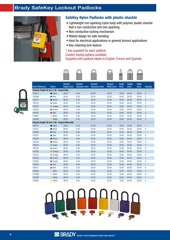

#### SafeKey Nylon Padlocks with plastic shackle

- Lightweight non-sparking nylon body with polymer plastic shackle that's non-conductive and non-sparking
- Non-conductive locking mechanism
- Ribbed design for safe handling
- Ideal for electrical applications or general lockout applications
- Key-retaining lock feature

1 key supplied for each padlock. Custom keying options available. Supplied with padlock labels in English, French and Spanish.





|                                               |                  | <b>Shackle</b> | <b>Shackle</b> | <b>Shackle</b> | <b>Shackle</b> | <b>Depth</b> | <b>Height</b> | <b>Width</b> |              |
|-----------------------------------------------|------------------|----------------|----------------|----------------|----------------|--------------|---------------|--------------|--------------|
| <b>Order Reference</b>                        | <b>Colour</b>    | Height (mm)    | Diameter (mm)  | Clearance (mm) | Width (mm)     | (mm)         | (mm)          | (mm)         | Quantity     |
| Shackle Height 38 mm / KA - Keyed Alike       |                  |                |                |                |                |              |               |              |              |
| 150315                                        | $\bullet$ Black  | 38.00          | 6.40           | 20.00          | 33.00          | 19.00        | 84.00         | 38.00        | 3            |
| 150268                                        | $\bullet$ Blue   | 38.00          | 6.40           | 20.00          | 33.00          | 19.00        | 84.00         | 38.00        | 3            |
| 150314                                        | ● Brown          | 38.00          | 6.40           | 20.00          | 33.00          | 19.00        | 84.00         | 38.00        | 3            |
| 150223                                        | <b>Green</b>     | 38.00          | 6.40           | 20.00          | 33.00          | 19.00        | 84.00         | 38.00        | 3            |
| 150222                                        | • Orange         | 38.00          | 6.40           | 20.00          | 33.00          | 19.00        | 84.00         | 38.00        | 3            |
| 150353                                        | • Purple         | 38.00          | 6.40           | 20.00          | 33.00          | 19.00        | 84.00         | 38.00        | 3            |
| 150291                                        | $\bullet$ Red    | 38.00          | 6.40           | 20.00          | 33.00          | 19.00        | 84.00         | 38.00        | 3            |
| 150267                                        | $\bigcirc$ White | 38.00          | 6.40           | 20.00          | 33.00          | 19.00        | 84.00         | 38.00        | 3            |
| 150290                                        | • Yellow         | 38.00          | 6.40           | 20.00          | 33.00          | 19.00        | 84.00         | 38.00        | 3            |
| Shackle Height 38 mm / KD - Keyed Differently |                  |                |                |                |                |              |               |              |              |
| 150231                                        | ● Black          | 38.00          | 6.40           | 20.00          | 33.00          | 19.00        | 84.00         | 38.00        | $\mathbf{1}$ |
| 150351                                        | <b>Black</b>     | 38.00          | 6.40           | 20.00          | 33.00          | 19.00        | 84.00         | 38.00        | 6            |
| 150366                                        | Blue<br>●        | 38.00          | 6.40           | 20.00          | 33.00          | 19.00        | 84.00         | 38.00        | $\mathbf{1}$ |
| 150221                                        | $\bullet$ Blue   | 38.00          | 6.40           | 20.00          | 33.00          | 19.00        | 84.00         | 38.00        | 6            |
| 150318                                        | ● Brown          | 38.00          | 6.40           | 20.00          | 33.00          | 19.00        | 84.00         | 38.00        | $\mathbf{1}$ |
| 150309                                        | <b>Brown</b>     | 38.00          | 6.40           | 20.00          | 33.00          | 19.00        | 84.00         | 38.00        | 6            |
| 150273                                        | <b>Green</b>     | 38.00          | 6.40           | 20.00          | 33.00          | 19.00        | 84.00         | 38.00        | 1            |
| 150334                                        | Green            | 38.00          | 6.40           | 20.00          | 33.00          | 19.00        | 84.00         | 38.00        | 6            |
| 150230                                        | <b>Orange</b>    | 38.00          | 6.40           | 20.00          | 33.00          | 19.00        | 84.00         | 38.00        | $\mathbf{1}$ |
| 150310                                        | Orange           | 38.00          | 6.40           | 20.00          | 33.00          | 19.00        | 84.00         | 38.00        | 6            |
| 150272                                        | • Purple         | 38.00          | 6.40           | 20.00          | 33.00          | 19.00        | 84.00         | 38.00        | $\mathbf{1}$ |
| 150350                                        | • Purple         | 38.00          | 6.40           | 20.00          | 33.00          | 19.00        | 84.00         | 38.00        | 6            |
| 150342                                        | $\bullet$ Red    | 38.00          | 6.40           | 20.00          | 33.00          | 19.00        | 84.00         | 38.00        | $\mathbf{1}$ |
| 150311                                        | $\bullet$ Red    | 38.00          | 6.40           | 20.00          | 33.00          | 19.00        | 84.00         | 38.00        | 6            |
| 150365                                        | $\bigcirc$ White | 38.00          | 6.40           | 20.00          | 33.00          | 19.00        | 84.00         | 38.00        | $\mathbf{1}$ |
| 150308                                        | $\bigcirc$ White | 38.00          | 6.40           | 20.00          | 33.00          | 19.00        | 84.00         | 38.00        | 6            |
| 150232                                        | • Yellow         | 38.00          | 6.40           | 20.00          | 33.00          | 19.00        | 84.00         | 38.00        | $\mathbf{1}$ |
| 150265                                        | • Yellow         | 38.00          | 6.40           | 20.00          | 33.00          | 19.00        | 84.00         | 38.00        | 6            |

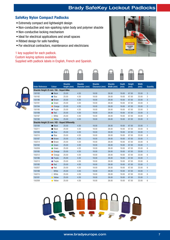#### SafeKey Nylon Compact Padlocks

- Extremely compact and lightweight design
- Non-conductive and non-sparking nylon body and polymer shackle
- Non-conductive locking mechanism
- Ideal for electrical applications and small spaces
- Ribbed design for safe handling
- For electrical contractors, maintenance and electricians

#### 1 key supplied for each padlock.

#### Custom keying options available.

Supplied with padlock labels in English, French and Spanish.

**Shackle** 

**Shackle** 





**Shackle** 

**Depth** 

Heigh

**Width** 



| <b>Order Reference</b>                        | <b>Colour</b>    | Height (mm) | Diameter (mm) | Clearance (mm) | Width (mm) | (mm)  | (mm)  | (mm)  | Quantity       |
|-----------------------------------------------|------------------|-------------|---------------|----------------|------------|-------|-------|-------|----------------|
| Shackle Height 25 mm / KA - Keyed Alike       |                  |             |               |                |            |       |       |       |                |
| 150193                                        | $\bullet$ Black  | 25.00       | 4.30          | 18.00          | 26.00      | 19.00 | 67.00 | 33.00 | 3              |
| 150192                                        | $\bullet$ Blue   | 25.00       | 4.30          | 18.00          | 26.00      | 19.00 | 67.00 | 33.00 | 3              |
| 150196                                        | ● Brown          | 25.00       | 4.30          | 18.00          | 26.00      | 19.00 | 67.00 | 33.00 | $\sqrt{3}$     |
| 150191                                        | <b>Green</b>     | 25.00       | 4.30          | 18.00          | 26.00      | 19.00 | 67.00 | 33.00 | 3              |
| 150194                                        | <b>O</b> Orange  | 25.00       | 4.30          | 18.00          | 26.00      | 19.00 | 67.00 | 33.00 | $\sqrt{3}$     |
| 150195                                        | • Purple         | 25.00       | 4.30          | 18.00          | 26.00      | 19.00 | 67.00 | 33.00 | 3              |
| 150189                                        | $\bullet$ Red    | 25.00       | 4.30          | 18.00          | 26.00      | 19.00 | 67.00 | 33.00 | $\sqrt{3}$     |
| 150197                                        | $\bigcirc$ White | 25.00       | 4.30          | 18.00          | 26.00      | 19.00 | 67.00 | 33.00 | 3              |
| 150190                                        | • Yellow         | 25.00       | 4.30          | 18.00          | 26.00      | 19.00 | 67.00 | 33.00 | 3              |
| Shackle Height 25 mm / KD - Keyed Differently |                  |             |               |                |            |       |       |       |                |
| 150184                                        | $\bullet$ Black  | 25.00       | 4.30          | 18.00          | 26.00      | 19.00 | 67.00 | 33.00 | $\mathbf{1}$   |
| 150211                                        | ● Black          | 25.00       | 4.30          | 18.00          | 26.00      | 19.00 | 67.00 | 33.00 | 6              |
| 150183                                        | $\bullet$ Blue   | 25.00       | 4.30          | 18.00          | 26.00      | 19.00 | 67.00 | 33.00 | 1              |
| 150210                                        | $\bullet$ Blue   | 25.00       | 4.30          | 18.00          | 26.00      | 19.00 | 67.00 | 33.00 | 6              |
| 150187                                        | ● Brown          | 25.00       | 4.30          | 18.00          | 26.00      | 19.00 | 67.00 | 33.00 | $\mathbf{1}$   |
| 150214                                        | <b>Brown</b>     | 25.00       | 4.30          | 18.00          | 26.00      | 19.00 | 67.00 | 33.00 | 6              |
| 150182                                        | Green            | 25.00       | 4.30          | 18.00          | 26.00      | 19.00 | 67.00 | 33.00 | $\mathbf{1}$   |
| 150209                                        | ● Green          | 25.00       | 4.30          | 18.00          | 26.00      | 19.00 | 67.00 | 33.00 | 6              |
| 150185                                        | • Orange         | 25.00       | 4.30          | 18.00          | 26.00      | 19.00 | 67.00 | 33.00 | $\mathbf{1}$   |
| 150212                                        | Orange           | 25.00       | 4.30          | 18.00          | 26.00      | 19.00 | 67.00 | 33.00 | 6              |
| 150186                                        | • Purple         | 25.00       | 4.30          | 18.00          | 26.00      | 19.00 | 67.00 | 33.00 | $\mathbf{1}$   |
| 150213                                        | • Purple         | 25.00       | 4.30          | 18.00          | 26.00      | 19.00 | 67.00 | 33.00 | 6              |
| 150180                                        | $\bullet$ Red    | 25.00       | 4.30          | 18.00          | 26.00      | 19.00 | 67.00 | 33.00 | 1              |
| 150207                                        | $\bullet$ Red    | 25.00       | 4.30          | 18.00          | 26.00      | 19.00 | 67.00 | 33.00 | $6\phantom{1}$ |
| 150188                                        | $\bigcirc$ White | 25.00       | 4.30          | 18.00          | 26.00      | 19.00 | 67.00 | 33.00 | 1              |
| 150215                                        | $\bigcirc$ White | 25.00       | 4.30          | 18.00          | 26.00      | 19.00 | 67.00 | 33.00 | 6              |
| 150181                                        | • Yellow         | 25.00       | 4.30          | 18.00          | 26.00      | 19.00 | 67.00 | 33.00 | $\mathbf{1}$   |
| 150208                                        | • Yellow         | 25.00       | 4.30          | 18.00          | 26.00      | 19.00 | 67.00 | 33.00 | 6              |

Shackle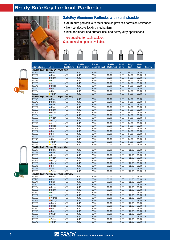

#### SafeKey Aluminum Padlocks with steel shackle

- Aluminum padlock with steel shackle provides corrosion resistance
- Non-conductive locking mechanism
- Ideal for indoor and outdoor use, and heavy-duty applications

1 key supplied for each padlock. Custom keying options available.





|                                               |                     | <b>Shackle</b> | <b>Shackle</b> | <b>Shackle</b> | <b>Shackle</b> | <b>Depth</b> | <b>Height</b> | Width |                 |
|-----------------------------------------------|---------------------|----------------|----------------|----------------|----------------|--------------|---------------|-------|-----------------|
| <b>Order Reference</b>                        | Colour              | Height (mm)    | Diameter (mm)  | Clearance (mm) | Width (mm)     | (mm)         | (mm)          | (mm)  | Quantity        |
| Shackle Height 38 mm / KA - Keyed Alike       |                     |                |                |                |                |              |               |       |                 |
| 150349                                        | $\bullet$ Black     | 38.00          | 6.40           | 20.00          | 33.00          | 19.00        | 84.00         | 38.00 | $\mathbf{3}$    |
| 150261                                        | $\bullet$ Blue      | 38.00          | 6.40           | 20.00          | 33.00          | 19.00        | 84.00         | 38.00 | 3               |
| 150260                                        | ● Brown             | 38.00          | 6.40           | 20.00          | 33.00          | 19.00        | 84.00         | 38.00 | 3               |
| 150281                                        | Green               | 38.00          | 6.40           | 20.00          | 33.00          | 19.00        | 84.00         | 38.00 | 3               |
| 150305                                        | <b>O</b> Orange     | 38.00          | 6.40           | 20.00          | 33.00          | 19.00        | 84.00         | 38.00 | 3               |
| 150348                                        | • Purple            | 38.00          | 6.40           | 20.00          | 33.00          | 19.00        | 84.00         | 38.00 | 3               |
| 150262                                        | $\bullet$ Red       | 38.00          | 6.40           | 20.00          | 33.00          | 19.00        | 84.00         | 38.00 | 3               |
| 150304                                        | ● Silver            | 38.00          | 6.40           | 20.00          | 33.00          | 19.00        | 84.00         | 38.00 | 3               |
| 150282                                        | • Yellow            | 38.00          | 6.40           | 20.00          | 33.00          | 19.00        | 84.00         | 38.00 | 3               |
| Shackle Height 38 mm / KD - Keyed Differently |                     |                |                |                |                |              |               |       |                 |
| 150243                                        | • Black             | 38.00          | 6.40           | 20.00          | 33.00          | 19.00        | 84.00         | 38.00 | $\mathbf{1}$    |
| 150240                                        | <b>Black</b>        | 38.00          | 6.40           | 20.00          | 33.00          | 19.00        | 84.00         | 38.00 | $6\phantom{1}$  |
| 150287                                        |                     | 38.00          |                |                | 33.00          |              |               |       | $\mathbf{1}$    |
|                                               | ● Blue              |                | 6.40           | 20.00          |                | 19.00        | 84.00         | 38.00 |                 |
| 150302                                        | • Blue              | 38.00          | 6.40           | 20.00          | 33.00          | 19.00        | 84.00         | 38.00 | $6\phantom{.}6$ |
| 150286                                        | <b>Brown</b>        | 38.00          | 6.40           | 20.00          | 33.00          | 19.00        | 84.00         | 38.00 | $\mathbf{1}$    |
| 150301                                        | ● Brown             | 38.00          | 6.40           | 20.00          | 33.00          | 19.00        | 84.00         | 38.00 | 6               |
| 150264                                        | Green               | 38.00          | 6.40           | 20.00          | 33.00          | 19.00        | 84.00         | 38.00 | $\mathbf{1}$    |
| 150256                                        | Green               | 38.00          | 6.40           | 20.00          | 33.00          | 19.00        | 84.00         | 38.00 | 6               |
| 150263                                        | • Orange            | 38.00          | 6.40           | 20.00          | 33.00          | 19.00        | 84.00         | 38.00 | $\mathbf{1}$    |
| 150326                                        | Orange              | 38.00          | 6.40           | 20.00          | 33.00          | 19.00        | 84.00         | 38.00 | $6\phantom{1}$  |
| 150333                                        | • Purple            | 38.00          | 6.40           | 20.00          | 33.00          | 19.00        | 84.00         | 38.00 | $\mathbf{1}$    |
| 150347                                        | • Purple            | 38.00          | 6.40           | 20.00          | 33.00          | 19.00        | 84.00         | 38.00 | $6\phantom{1}$  |
| 150307                                        | $\bullet$ Red       | 38.00          | 6.40           | 20.00          | 33.00          | 19.00        | 84.00         | 38.00 | $\mathbf{1}$    |
| 150303                                        | $\bullet$ Red       | 38.00          | 6.40           | 20.00          | 33.00          | 19.00        | 84.00         | 38.00 | 6               |
| 150242                                        | ● Silver            | 38.00          | 6.40           | 20.00          | 33.00          | 19.00        | 84.00         | 38.00 | $\mathbf{1}$    |
| 150278                                        | Silver<br>$\bullet$ | 38.00          | 6.40           | 20.00          | 33.00          | 19.00        | 84.00         | 38.00 | $6\phantom{.}6$ |
| 150288                                        | • Yellow            | 38.00          | 6.40           | 20.00          | 33.00          | 19.00        | 84.00         | 38.00 | $\mathbf{1}$    |
| 150219                                        | • Yellow            | 38.00          | 6.40           | 20.00          | 33.00          | 19.00        | 84.00         | 38.00 | 6               |
| Shackle Height 76 mm / KA - Keyed Alike       |                     |                |                |                |                |              |               |       |                 |
| 150217                                        | <b>Black</b>        | 76.00          | 6.40           | 20.00          | 33.00          | 19.00        | 122.00        | 38.00 | 3               |
| 150277                                        | • Blue              | 76.00          | 6.40           | 20.00          | 33.00          | 19.00        | 122.00        | 38.00 | $\mathbf{3}$    |
| 150299                                        | ● Brown             | 76.00          | 6.40           | 20.00          | 33.00          | 19.00        | 122.00        | 38.00 | 3               |
| 150238                                        | Green               | 76.00          | 6.40           | 20.00          | 33.00          | 19.00        | 122.00        | 38.00 | 3               |
| 150325                                        | Orange              | 76.00          | 6.40           | 20.00          | 33.00          | 19.00        | 122.00        | 38.00 | 3               |
| 150300                                        | • Purple            | 76.00          | 6.40           | 20.00          | 33.00          | 19.00        | 122.00        | 38.00 | 3               |
| 150218                                        | $\bullet$ Red       | 76.00          | 6.40           | 20.00          | 33.00          | 19.00        | 122.00        | 38.00 | 3               |
| 150276                                        | ● Silver            | 76.00          | 6.40           | 20.00          | 33.00          | 19.00        | 122.00        | 38.00 | $\sqrt{3}$      |
| 150239                                        | • Yellow            | 76.00          | 6.40           | 20.00          | 33.00          | 19.00        | 122.00        | 38.00 | 3               |
| Shackle Height 76 mm / KD - Keyed Differently |                     |                |                |                |                |              |               |       |                 |
| 150331                                        | <b>Black</b>        | 76.00          | 6.40           | 20.00          | 33.00          | 19.00        | 122.00        | 38.00 | $\mathbf{1}$    |
| 150216                                        | <b>Black</b>        | 76.00          | 6.40           | 20.00          | 33.00          | 19.00        | 122.00        | 38.00 | $6\phantom{1}6$ |
| 150241                                        | ● Blue              | 76.00          | 6.40           | 20.00          | 33.00          | 19.00        | 122.00        | 38.00 | $\mathbf{1}$    |
| 150322                                        | $\bullet$ Blue      | 76.00          | 6.40           | 20.00          | 33.00          | 19.00        | 122.00        | 38.00 | $6\phantom{1}6$ |
| 150284                                        | ● Brown             | 76.00          | 6.40           | 20.00          | 33.00          | 19.00        | 122.00        | 38.00 | 1               |
| 150235                                        | ● Brown             | 76.00          | 6.40           | 20.00          | 33.00          | 19.00        | 122.00        | 38.00 | $6\phantom{1}$  |
| 150360                                        | <b>Green</b>        | 76.00          | 6.40           | 20.00          | 33.00          | 19.00        | 122.00        | 38.00 |                 |
| 150252                                        |                     |                |                |                |                |              |               |       | $\overline{1}$  |
|                                               | <b>Green</b>        | 76.00          | 6.40           | 20.00          | 33.00          | 19.00        | 122.00        | 38.00 | $6\phantom{.}6$ |
| 150306                                        | • Orange            | 76.00          | 6.40           | 20.00          | 33.00          | 19.00        | 122.00        | 38.00 | $\mathbf{1}$    |
| 150344                                        | • Orange            | 76.00          | 6.40           | 20.00          | 33.00          | 19.00        | 122.00        | 38.00 | $6\phantom{.}6$ |
| 150330                                        | • Purple            | 76.00          | 6.40           | 20.00          | 33.00          | 19.00        | 122.00        | 38.00 | 1               |
| 150358                                        | • Purple            | 76.00          | 6.40           | 20.00          | 33.00          | 19.00        | 122.00        | 38.00 | $6\phantom{.}6$ |
| 150332                                        | $\bullet$ Red       | 76.00          | 6.40           | 20.00          | 33.00          | 19.00        | 122.00        | 38.00 | $\mathbf{1}$    |
| 150323                                        | $\bullet$ Red       | 76.00          | 6.40           | 20.00          | 33.00          | 19.00        | 122.00        | 38.00 | $6\phantom{.}6$ |
| 150283                                        | ● Silver            | 76.00          | 6.40           | 20.00          | 33.00          | 19.00        | 122.00        | 38.00 | $\mathbf{1}$    |
| 150297                                        | ● Silver            | 76.00          | 6.40           | 20.00          | 33.00          | 19.00        | 122.00        | 38.00 | $6\phantom{.}6$ |
| 150285                                        | • Yellow            | 76.00          | 6.40           | 20.00          | 33.00          | 19.00        | 122.00        | 38.00 | $\mathbf{1}$    |
| 150345                                        | • Yellow            | 76.00          | 6.40           | 20.00          | 33.00          | 19.00        | 122.00        | 38.00 | $6\phantom{.}6$ |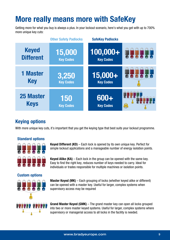# More really means more with SafeKey

Getting more for what you buy is always a plus. In your lockout scenario, here's what you get with up to 700% more unique key cuts:

|                                 | <b>Other Safety Padlocks</b> | <b>SafeKey Padlocks</b>  |                                           |
|---------------------------------|------------------------------|--------------------------|-------------------------------------------|
| <b>Keyed</b>                    | 15,000                       | $100,000+$               | 555555                                    |
| <b>Different</b>                | <b>Key Codes</b>             | <b>Key Codes</b>         |                                           |
| <b>1 Master</b>                 | 3,250                        | 15,000+                  |                                           |
| <b>Key</b>                      | <b>Key Codes</b>             | <b>Key Codes</b>         |                                           |
| <b>25 Master</b><br><b>Keys</b> | 150<br><b>Key Codes</b>      | 600+<br><b>Key Codes</b> | <b>OOOO</b><br><b>AA</b> AA<br>8 8 8<br>卑 |

#### Keying options

With more unique key cuts, it's important that you get the keying type that best suits your lockout programme.

#### Standard options



Keyed Different (KD) – Each lock is opened by its own unique key. Perfect for simple lockout applications and a manageable number of energy isolation points.

**Keyed Alike (KA)** – Each lock in the group can be opened with the same key. Easy to find the right key, reduces number of keys needed to carry. Ideal for individuals or trades responsible for multiple machines or isolation points.

#### Custom options



Master Keyed (MK) – Each grouping of locks (whether keyed alike or different) can be opened with a master key. Useful for larger, complex systems when supervisory access may be required

Grand Master Keyed (GMK) – The grand master key can open all locks grouped into two or more master keyed systems. Useful for larger, complex systems where supervisory or managerial access to all locks in the facility is needed.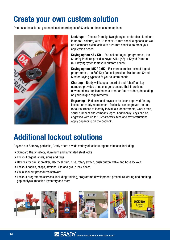# Create your own custom solution

Don't see the solution you need in standard options? Check out these custom options:



Lock type – Choose from lightweight nylon or durable aluminum in up to 9 colours, with 38 mm or 76 mm shackle options, as well as a compact nylon lock with a 25 mm shackle, to meet your application needs.

Keying option KA / KD - For lockout tagout programmes, the SafeKey Padlock provides Keyed Alike (KA) or Keyed Different (KD) keying types to fit your custom needs.

Keying option MK / GMK – For more complex lockout tagout programmes, the SafeKey Padlock provides Master and Grand Master keying types to fit your custom needs.

Charting – Brady will keep a record of and "chart" all key numbers provided at no charge to ensure that there is no unwanted key duplication on current or future orders, depending on your unique requirements.

Engraving – Padlocks and keys can be laser-engraved for any lockout or safety requirement. Padlocks can engraved on one to four surfaces to identify indviduals, departments, work areas, serial numbers and company logos. Additionally, keys can be engraved with up to 10 characters. Size and text restrictions apply depending on the padlock.

# Additional lockout solutions

Beyond our SafeKey padlocks, Brady offers a wide variety of lockout tagout solutions, including:

- Standard Brady safety, aluminum and laminated steel locks
- Lockout tagout labels, signs and tags
- Devices for circuit breaker, electrical plug, fuse, rotary switch, push button, valve and hose lockout
- Lockout cables, hasps, stations, kits and group lock boxes
- Visual lockout procedures software
- Lockout programme services, including training, programme development, procedure writing and auditing, gap analysis, machine inventory and more

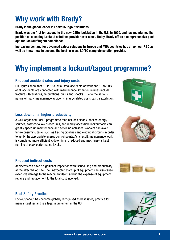## Why work with Brady?

Brady is the global leader in Lockout/Tagout solutions.

Brady was the first to respond to the new OSHA legislation in the U.S. in 1990, and has maintained its position as a leading Lockout solutions provider ever since. Today, Brady offers a comprehensive package for Lockout/Tagout compliance.

Increasing demand for advanced safety solutions in Europe and MEA countries has driven our R&D as well as know-how to become the best-in-class LO/TO complete solution provider.

## Why implement a lockout/tagout programme?

#### Reduced accident rates and injury costs

EU Figures show that 10 to 15% of all fatal accidents at work and 15 to 20% of all accidents are connected with maintenance. Common injuries include fractures, lacerations, amputations, burns and shocks. Due to the serious nature of many maintenance accidents, injury-related costs can be exorbitant.

#### Less downtime, higher productivity

A well-organised LO/TO programme that includes clearly labelled energy sources, easy-to-follow procedures, and readily accessible lockout tools can greatly speed up maintenance and servicing activities. Workers can avoid time-consuming tasks such as tracing pipelines and electrical circuits in order to verify the appropriate energy control points. As a result, maintenance work is completed more efficiently, downtime is reduced and machinery is kept running at peak performance levels.

#### Reduced indirect costs

Accidents can have a significant impact on work scheduling and productivity at the affected job site. The unexpected start up of equipment can also cause extensive damage to the machinery itself, adding the expense of equipment repairs and replacement to the total cost involved.

#### Best Safety Practice

Lockout/tagout has become globally recognised as best safety practice for many industries and is a legal requirement in the US.